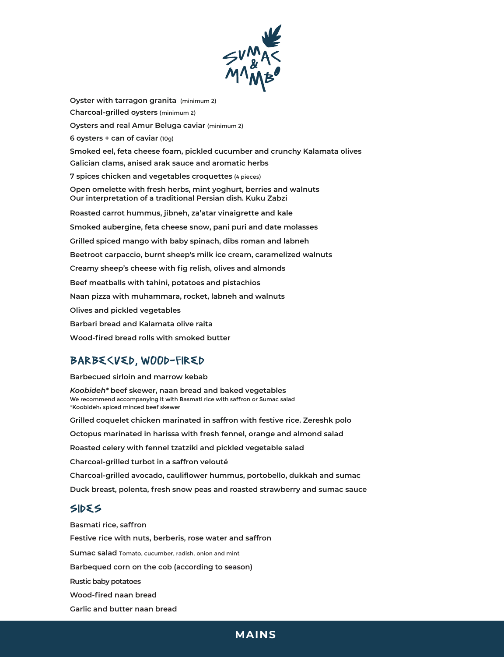

**Charcoal-grilled oysters** (minimum 2) **Oysters and real Amur Beluga caviar** (minimum 2) **6 oysters + can of caviar** (10g) **Galician clams, anised arak sauce and aromatic herbs 7 spices chicken and vegetables croquettes** (4 pieces) **Smoked eel, feta cheese foam, pickled cucumber and crunchy Kalamata olives Smoked aubergine, feta cheese snow, pani puri and date molasses Roasted carrot hummus, jibneh, za'atar vinaigrette and kale Beef meatballs with tahini, potatoes and pistachios Naan pizza with muhammara, rocket, labneh and walnuts Barbari bread and Kalamata olive raita Olives and pickled vegetables Wood-fired bread rolls with smoked butter Oyster with tarragon granita** (minimum 2) **Open omelette with fresh herbs, mint yoghurt, berries and walnuts Our interpretation of a traditional Persian dish. Kuku Zabzi Grilled spiced mango with baby spinach, dibs roman and labneh Beetroot carpaccio, burnt sheep's milk ice cream, caramelized walnuts Creamy sheep's cheese with fig relish, olives and almonds**

## BARBECUED, WOOD-FIRED

**Barbecued sirloin and marrow kebab**

*Koobideh\** **beef skewer, naan bread and baked vegetables** We recommend accompanying it with Basmati rice with saffron or Sumac salad \*Koobideh: spiced minced beef skewer

**Octopus marinated in harissa with fresh fennel, orange and almond salad Roasted celery with fennel tzatziki and pickled vegetable salad Charcoal-grilled turbot in a saffron velouté Charcoal-grilled avocado, cauliflower hummus, portobello, dukkah and sumac Duck breast, polenta, fresh snow peas and roasted strawberry and sumac sauce Grilled coquelet chicken marinated in saffron with festive rice. Zereshk polo**

## SIDES

**Basmati rice, saffron Sumac salad** Tomato, cucumber, radish, onion and mint **Barbequed corn on the cob (according to season) Wood-fired naan bread Rustic baby potatoes Garlic and butter naan bread Festive rice with nuts, berberis, rose water and saffron**

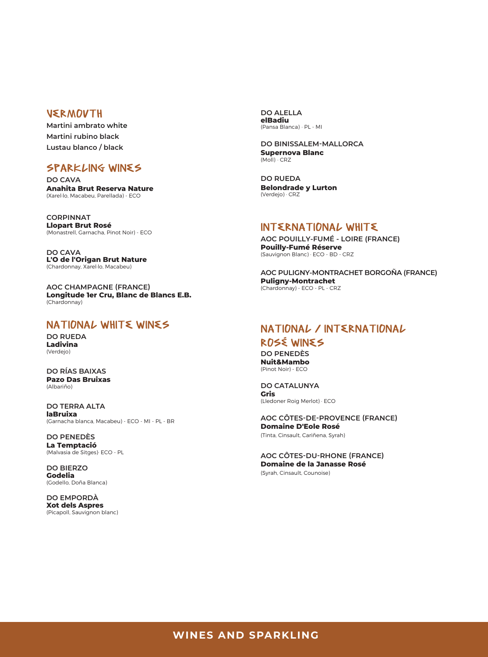### **VERMOVTH**

**Martini ambrato white Martini rubino black Lustau blanco / black** 

## SPARKLING WINES

**DO CAVA Anahita Brut Reserva Nature** (Xarel·lo, Macabeu, Parellada) - ECO

**CORPINNAT Llopart Brut Rosé** (Monastrell, Garnacha, Pinot Noir) - ECO

**DO CAVA L'O de l'Origan Brut Nature** (Chardonnay, Xarel·lo, Macabeu)

**AOC CHAMPAGNE (FRANCE) Longitude 1er Cru, Blanc de Blancs E.B.** (Chardonnay)

### NATIONAL WHITE WINES

**DO RUEDA Ladivina** (Verdejo)

**DO RÍAS BAIXAS Pazo Das Bruixas** (Albariño)

**DO TERRA ALTA laBruixa** (Garnacha blanca, Macabeu) - ECO - MI - PL - BR

**DO PENEDÈS La Temptació** (Malvasia de Sitges)· ECO - PL

**DO BIERZO Godelia** (Godello, Doña Blanca)

**DO EMPORDÀ Xot dels Aspres** (Picapoll, Sauvignon blanc) **DO ALELLA elBadiu** (Pansa Blanca) · PL - MI

**DO BINISSALEM-MALLORCA Supernova Blanc** (Moll) · CRZ

**DO RUEDA Belondrade y Lurton**  (Verdejo) · CRZ

#### INTERNATIONAL WHITE

**AOC POUILLY-FUMÉ - LOIRE (FRANCE) Pouilly-Fumé Réserve** (Sauvignon Blanc) · ECO - BD - CRZ

**AOC PULIGNY-MONTRACHET BORGOÑA (FRANCE) Puligny-Montrachet** (Chardonnay) - ECO - PL - CRZ

# NATIONAL / INTERNATIONAL

ROSÉ WINES

**DO PENEDÈS Nuit&Mambo** (Pinot Noir) - ECO

**DO CATALUNYA Gris** (Lledoner Roig Merlot) · ECO

**AOC CÔTES-DE-PROVENCE (FRANCE) Domaine D'Eole Rosé** (Tinta, Cinsault, Cariñena, Syrah)

 **AOC CÔTES-DU-RHONE (FRANCE) Domaine de la Janasse Rosé**

(Syrah, Cinsault, Counoise)

#### **WINES AND SPARKLING**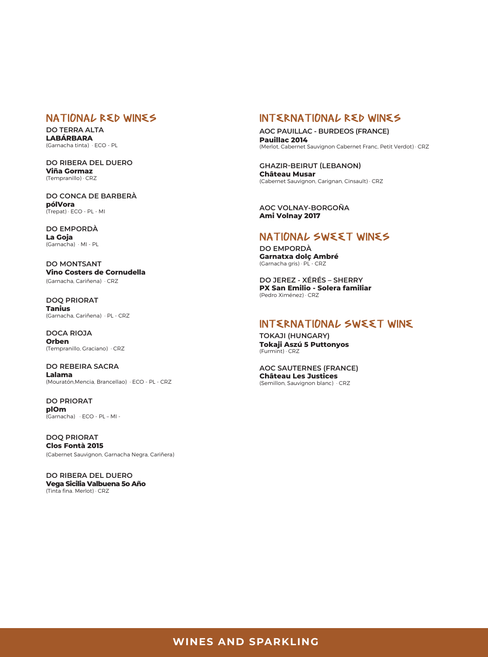## NATIONAL RED WINES

**DO TERRA ALTA LABÁRBARA** (Garnacha tinta) · ECO - PL

**DO RIBERA DEL DUERO Viña Gormaz** (Tempranillo) · CRZ

**DO CONCA DE BARBERÀ pólVora** (Trepat) · ECO - PL - MI

**DO EMPORDÀ La Goja** (Garnacha) · MI - PL

**DO MONTSANT Vino Costers de Cornudella**  (Garnacha, Cariñena) · CRZ

**DOQ PRIORAT Tanius** (Garnacha, Cariñena) · PL - CRZ

**DOCA RIOJA Orben** (Tempranillo, Graciano) · CRZ

**DO REBEIRA SACRA Lalama** (Mouratón,Mencia, Brancellao) · ECO - PL - CRZ

**DO PRIORAT plOm** (Garnacha) · ECO - PL – MI -

**DOQ PRIORAT Clos Fontà 2015** (Cabernet Sauvignon, Garnacha Negra, Cariñera)

**DO RIBERA DEL DUERO Vega Sicilia Valbuena 5o Año** (Tinta fina. Merlot) · CRZ

## INTERNATIONAL RED WINES

**AOC PAUILLAC - BURDEOS (FRANCE) Pauillac 2014**  (Merlot, Cabernet Sauvignon Cabernet Franc, Petit Verdot) · CRZ

#### **GHAZIR-BEIRUT (LEBANON)**

**Château Musar**  (Cabernet Sauvignon, Carignan, Cinsault) · CRZ

**AOC VOLNAY-BORGOÑA Ami Volnay 2017** 

### NATIONAL SWEET WINES

**DO EMPORDÀ Garnatxa dolç Ambré** (Garnacha gris) · PL - CRZ

**DO JEREZ - XÉRÉS – SHERRY PX San Emilio - Solera familiar** (Pedro Ximénez) · CRZ

# INTERNATIONAL SWEET WINE

**TOKAJI (HUNGARY) Tokaji Aszú 5 Puttonyos** (Furmint) · CRZ

**AOC SAUTERNES (FRANCE) Château Les Justices**  (Semillon, Sauvignon blanc) · CRZ

#### **WINES AND SPARKLING**